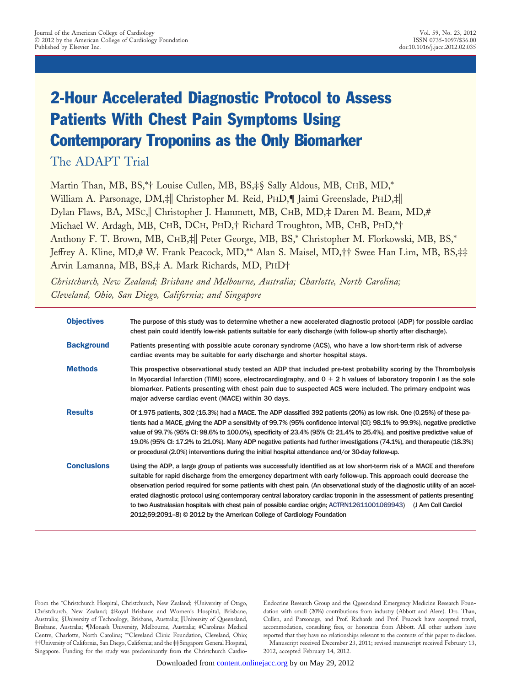# 2-Hour Accelerated Diagnostic Protocol to Assess Patients With Chest Pain Symptoms Using Contemporary Troponins as the Only Biomarker

The ADAPT Trial

Martin Than, MB, BS,\*† Louise Cullen, MB, BS,‡§ Sally Aldous, MB, CHB, MD,\* William A. Parsonage, DM,‡ Christopher M. Reid, PHD,¶ Jaimi Greenslade, PHD,‡ Dylan Flaws, BA, MSc, Christopher J. Hammett, MB, CHB, MD,\# Daren M. Beam, MD,\# Michael W. Ardagh, MB, CHB, DCH, PHD,† Richard Troughton, MB, CHB, PHD,\*† Anthony F. T. Brown, MB, CHB, | Peter George, MB, BS, \* Christopher M. Florkowski, MB, BS, \* Jeffrey A. Kline, MD,# W. Frank Peacock, MD,\*\* Alan S. Maisel, MD,†† Swee Han Lim, MB, BS,‡‡ Arvin Lamanna, MB, BS,‡ A. Mark Richards, MD, PHD†

*Christchurch, New Zealand; Brisbane and Melbourne, Australia; Charlotte, North Carolina; Cleveland, Ohio, San Diego, California; and Singapore*

| <b>Objectives</b>  | The purpose of this study was to determine whether a new accelerated diagnostic protocol (ADP) for possible cardiac<br>chest pain could identify low-risk patients suitable for early discharge (with follow-up shortly after discharge).                                                                                                                                                                                                                                                                                                                                                                                                                                                                  |
|--------------------|------------------------------------------------------------------------------------------------------------------------------------------------------------------------------------------------------------------------------------------------------------------------------------------------------------------------------------------------------------------------------------------------------------------------------------------------------------------------------------------------------------------------------------------------------------------------------------------------------------------------------------------------------------------------------------------------------------|
| <b>Background</b>  | Patients presenting with possible acute coronary syndrome (ACS), who have a low short-term risk of adverse<br>cardiac events may be suitable for early discharge and shorter hospital stays.                                                                                                                                                                                                                                                                                                                                                                                                                                                                                                               |
| <b>Methods</b>     | This prospective observational study tested an ADP that included pre-test probability scoring by the Thrombolysis<br>In Myocardial Infarction (TIMI) score, electrocardiography, and $0 + 2$ h values of laboratory troponin I as the sole<br>biomarker. Patients presenting with chest pain due to suspected ACS were included. The primary endpoint was<br>major adverse cardiac event (MACE) within 30 days.                                                                                                                                                                                                                                                                                            |
| <b>Results</b>     | Of 1,975 patients, 302 (15.3%) had a MACE. The ADP classified 392 patients (20%) as low risk. One (0.25%) of these pa-<br>tients had a MACE, giving the ADP a sensitivity of 99.7% (95% confidence interval [CI]: 98.1% to 99.9%), negative predictive<br>value of 99.7% (95% CI: 98.6% to 100.0%), specificity of 23.4% (95% CI: 21.4% to 25.4%), and positive predictive value of<br>19.0% (95% CI: 17.2% to 21.0%). Many ADP negative patients had further investigations (74.1%), and therapeutic (18.3%)<br>or procedural (2.0%) interventions during the initial hospital attendance and/or 30-day follow-up.                                                                                        |
| <b>Conclusions</b> | Using the ADP, a large group of patients was successfully identified as at low short-term risk of a MACE and therefore<br>suitable for rapid discharge from the emergency department with early follow-up. This approach could decrease the<br>observation period required for some patients with chest pain. (An observational study of the diagnostic utility of an accel-<br>erated diagnostic protocol using contemporary central laboratory cardiac troponin in the assessment of patients presenting<br>to two Australasian hospitals with chest pain of possible cardiac origin; ACTRN12611001069943) (J Am Coll Cardiol<br>2012;59:2091–8) © 2012 by the American College of Cardiology Foundation |

Endocrine Research Group and the Queensland Emergency Medicine Research Foundation with small (20%) contributions from industry (Abbott and Alere). Drs. Than, Cullen, and Parsonage, and Prof. Richards and Prof. Peacock have accepted travel, accommodation, consulting fees, or honoraria from Abbott. All other authors have reported that they have no relationships relevant to the contents of this paper to disclose. Manuscript received December 23, 2011; revised manuscript received February 13, 2012, accepted February 14, 2012.

From the \*Christchurch Hospital, Christchurch, New Zealand; †University of Otago, Christchurch, New Zealand; ‡Royal Brisbane and Women's Hospital, Brisbane, Australia; §University of Technology, Brisbane, Australia; University of Queensland, Brisbane, Australia; ¶Monash University, Melbourne, Australia; #Carolinas Medical Centre, Charlotte, North Carolina; \*\*Cleveland Clinic Foundation, Cleveland, Ohio; ††University of California, San Diego, California; and the ‡‡Singapore General Hospital, Singapore. Funding for the study was predominantly from the Christchurch Cardio-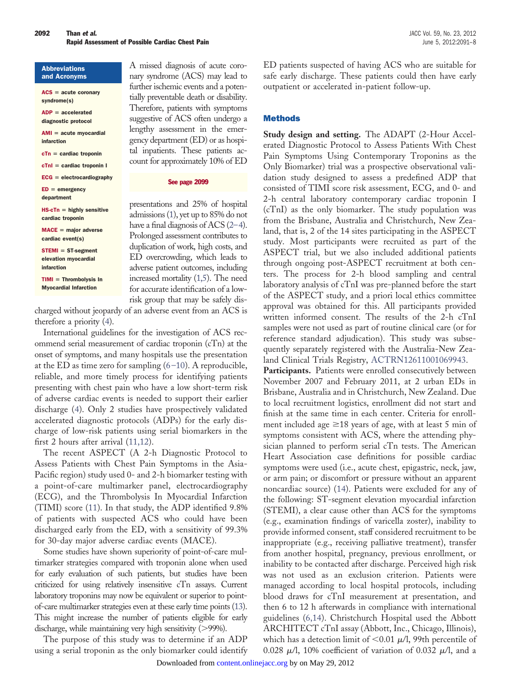#### Abbreviations and Acronyms

| $ACS = acute coronary$<br>syndrome(s)           |
|-------------------------------------------------|
| $ADP = acceleration$<br>diagnostic protocol     |
| $AMI = acute$ myocardial<br>infarction          |
| $cTn = cardiac troponin$                        |
| $cTnl = cardiac troponin l$                     |
| $ECG = electrocardiography$                     |
| $ED = emergency$<br>department                  |
| $HS-cTn =$ highly sensitive<br>cardiac troponin |
| $MACE = major adverse$<br>cardiac event(s)      |
| $STEMI = ST-segment$<br>elevation myocardial    |

infarction  $TIMI = Thrombolysis In$ 

Myocardial Infarction

A missed diagnosis of acute coronary syndrome (ACS) may lead to further ischemic events and a potentially preventable death or disability. Therefore, patients with symptoms suggestive of ACS often undergo a lengthy assessment in the emergency department (ED) or as hospital inpatients. These patients account for approximately 10% of ED

See page 2099

presentations and 25% of hospital admissions [\(1\)](#page-7-0), yet up to 85% do not have a final diagnosis of ACS  $(2-4)$ . Prolonged assessment contributes to duplication of work, high costs, and ED overcrowding, which leads to adverse patient outcomes, including increased mortality [\(1,5\)](#page-7-0). The need for accurate identification of a lowrisk group that may be safely dis-

charged without jeopardy of an adverse event from an ACS is therefore a priority [\(4\)](#page-7-2).

International guidelines for the investigation of ACS recommend serial measurement of cardiac troponin (cTn) at the onset of symptoms, and many hospitals use the presentation at the ED as time zero for sampling  $(6-10)$ . A reproducible, reliable, and more timely process for identifying patients presenting with chest pain who have a low short-term risk of adverse cardiac events is needed to support their earlier discharge [\(4\)](#page-7-2). Only 2 studies have prospectively validated accelerated diagnostic protocols (ADPs) for the early discharge of low-risk patients using serial biomarkers in the first 2 hours after arrival [\(11,12\)](#page-7-4).

The recent ASPECT (A 2-h Diagnostic Protocol to Assess Patients with Chest Pain Symptoms in the Asia-Pacific region) study used 0- and 2-h biomarker testing with a point-of-care multimarker panel, electrocardiography (ECG), and the Thrombolysis In Myocardial Infarction (TIMI) score [\(11\)](#page-7-4). In that study, the ADP identified 9.8% of patients with suspected ACS who could have been discharged early from the ED, with a sensitivity of 99.3% for 30-day major adverse cardiac events (MACE).

Some studies have shown superiority of point-of-care multimarker strategies compared with troponin alone when used for early evaluation of such patients, but studies have been criticized for using relatively insensitive cTn assays. Current laboratory troponins may now be equivalent or superior to pointof-care multimarker strategies even at these early time points [\(13\)](#page-7-5). This might increase the number of patients eligible for early discharge, while maintaining very high sensitivity (>99%).

The purpose of this study was to determine if an ADP using a serial troponin as the only biomarker could identify

ED patients suspected of having ACS who are suitable for safe early discharge. These patients could then have early outpatient or accelerated in-patient follow-up.

# Methods

**Study design and setting.** The ADAPT (2-Hour Accelerated Diagnostic Protocol to Assess Patients With Chest Pain Symptoms Using Contemporary Troponins as the Only Biomarker) trial was a prospective observational validation study designed to assess a predefined ADP that consisted of TIMI score risk assessment, ECG, and 0- and 2-h central laboratory contemporary cardiac troponin I (cTnI) as the only biomarker. The study population was from the Brisbane, Australia and Christchurch, New Zealand, that is, 2 of the 14 sites participating in the ASPECT study. Most participants were recruited as part of the ASPECT trial, but we also included additional patients through ongoing post-ASPECT recruitment at both centers. The process for 2-h blood sampling and central laboratory analysis of cTnI was pre-planned before the start of the ASPECT study, and a priori local ethics committee approval was obtained for this. All participants provided written informed consent. The results of the 2-h cTnI samples were not used as part of routine clinical care (or for reference standard adjudication). This study was subsequently separately registered with the Australia-New Zealand Clinical Trials Registry, [ACTRN12611001069943.](http://www.anzctr.org.au/trial_view.aspx?id=347565)

Participants. Patients were enrolled consecutively between November 2007 and February 2011, at 2 urban EDs in Brisbane, Australia and in Christchurch, New Zealand. Due to local recruitment logistics, enrollment did not start and finish at the same time in each center. Criteria for enrollment included age  $\geq 18$  years of age, with at least 5 min of symptoms consistent with ACS, where the attending physician planned to perform serial cTn tests. The American Heart Association case definitions for possible cardiac symptoms were used (i.e., acute chest, epigastric, neck, jaw, or arm pain; or discomfort or pressure without an apparent noncardiac source) [\(14\)](#page-7-6). Patients were excluded for any of the following: ST-segment elevation myocardial infarction (STEMI), a clear cause other than ACS for the symptoms (e.g., examination findings of varicella zoster), inability to provide informed consent, staff considered recruitment to be inappropriate (e.g., receiving palliative treatment), transfer from another hospital, pregnancy, previous enrollment, or inability to be contacted after discharge. Perceived high risk was not used as an exclusion criterion. Patients were managed according to local hospital protocols, including blood draws for cTnI measurement at presentation, and then 6 to 12 h afterwards in compliance with international guidelines [\(6,14\)](#page-7-3). Christchurch Hospital used the Abbott ARCHITECT cTnI assay (Abbott, Inc., Chicago, Illinois), which has a detection limit of  $<$  0.01  $\mu$ /l, 99th percentile of  $0.028 \mu/l$ , 10% coefficient of variation of 0.032  $\mu/l$ , and a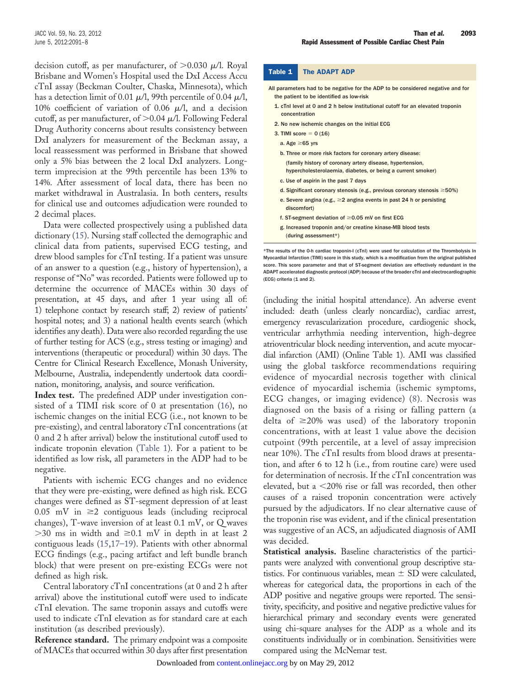decision cutoff, as per manufacturer, of  ${>}0.030$   $\mu$ /l. Royal Brisbane and Women's Hospital used the DxI Access Accu cTnI assay (Beckman Coulter, Chaska, Minnesota), which has a detection limit of 0.01  $\mu$ /l, 99th percentile of 0.04  $\mu$ /l, 10% coefficient of variation of 0.06  $\mu$ /l, and a decision cutoff, as per manufacturer, of  $>$  0.04  $\mu$ /l. Following Federal Drug Authority concerns about results consistency between DxI analyzers for measurement of the Beckman assay, a local reassessment was performed in Brisbane that showed only a 5% bias between the 2 local DxI analyzers. Longterm imprecision at the 99th percentile has been 13% to 14%. After assessment of local data, there has been no market withdrawal in Australasia. In both centers, results for clinical use and outcomes adjudication were rounded to 2 decimal places.

Data were collected prospectively using a published data dictionary [\(15\)](#page-7-7). Nursing staff collected the demographic and clinical data from patients, supervised ECG testing, and drew blood samples for cTnI testing. If a patient was unsure of an answer to a question (e.g., history of hypertension), a response of "No" was recorded. Patients were followed up to determine the occurrence of MACEs within 30 days of presentation, at 45 days, and after 1 year using all of: 1) telephone contact by research staff; 2) review of patients' hospital notes; and 3) a national health events search (which identifies any death). Data were also recorded regarding the use of further testing for ACS (e.g., stress testing or imaging) and interventions (therapeutic or procedural) within 30 days. The Centre for Clinical Research Excellence, Monash University, Melbourne, Australia, independently undertook data coordination, monitoring, analysis, and source verification.

**Index test.** The predefined ADP under investigation consisted of a TIMI risk score of 0 at presentation [\(16\)](#page-7-8), no ischemic changes on the initial ECG (i.e., not known to be pre-existing), and central laboratory cTnI concentrations (at 0 and 2 h after arrival) below the institutional cutoff used to indicate troponin elevation [\(Table 1\)](#page-2-0). For a patient to be identified as low risk, all parameters in the ADP had to be negative.

Patients with ischemic ECG changes and no evidence that they were pre-existing, were defined as high risk. ECG changes were defined as ST-segment depression of at least  $0.05$  mV in  $\geq$  contiguous leads (including reciprocal changes), T-wave inversion of at least 0.1 mV, or Q waves  $>$  30 ms in width and  $\geq$  0.1 mV in depth in at least 2 contiguous leads [\(15,](#page-7-7)[17–19\)](#page-7-9). Patients with other abnormal ECG findings (e.g., pacing artifact and left bundle branch block) that were present on pre-existing ECGs were not defined as high risk.

Central laboratory cTnI concentrations (at 0 and 2 h after arrival) above the institutional cutoff were used to indicate cTnI elevation. The same troponin assays and cutoffs were used to indicate cTnI elevation as for standard care at each institution (as described previously).

**Reference standard.** The primary endpoint was a composite of MACEs that occurred within 30 days after first presentation

#### <span id="page-2-0"></span>Table 1 The ADAPT ADP

| All parameters had to be negative for the ADP to be considered negative and for<br>the patient to be identified as low-risk |
|-----------------------------------------------------------------------------------------------------------------------------|
| 1. cTnl level at 0 and 2 h below institutional cutoff for an elevated troponin<br>concentration                             |
| 2. No new ischemic changes on the initial ECG                                                                               |
| 3. TIMI score = $0(16)$                                                                                                     |
| a. Age $\geq 65$ vrs                                                                                                        |
| b. Three or more risk factors for coronary artery disease:                                                                  |
| (family history of coronary artery disease, hypertension,                                                                   |
| hypercholesterolaemia, diabetes, or being a current smoker)                                                                 |
| c. Use of aspirin in the past 7 days                                                                                        |
| d. Significant coronary stenosis (e.g., previous coronary stenosis $\geq 50\%$ )                                            |

- e. Severe angina (e.g.,  $\geq$  2 angina events in past 24 h or persisting discomfort)
- f. ST-segment deviation of  $\geq$  0.05 mV on first ECG
- g. Increased troponin and/or creatine kinase-MB blood tests (during assessment\*)

\*The results of the 0-h cardiac troponin-I (cTnI) were used for calculation of the Thrombolysis In Myocardial Infarction (TIMI) score in this study, which is a modification from the original published score. This score parameter and that of ST-segment deviation are effectively redundant in the ADAPT accelerated diagnostic protocol (ADP) because of the broader cTnI and electrocardiographic (ECG) criteria (1 and 2).

(including the initial hospital attendance). An adverse event included: death (unless clearly noncardiac), cardiac arrest, emergency revascularization procedure, cardiogenic shock, ventricular arrhythmia needing intervention, high-degree atrioventricular block needing intervention, and acute myocardial infarction (AMI) (Online Table 1). AMI was classified using the global taskforce recommendations requiring evidence of myocardial necrosis together with clinical evidence of myocardial ischemia (ischemic symptoms, ECG changes, or imaging evidence) [\(8\)](#page-7-10). Necrosis was diagnosed on the basis of a rising or falling pattern (a delta of  $\geq$ 20% was used) of the laboratory troponin concentrations, with at least 1 value above the decision cutpoint (99th percentile, at a level of assay imprecision near 10%). The cTnI results from blood draws at presentation, and after 6 to 12 h (i.e., from routine care) were used for determination of necrosis. If the cTnI concentration was elevated, but a 20% rise or fall was recorded, then other causes of a raised troponin concentration were actively pursued by the adjudicators. If no clear alternative cause of the troponin rise was evident, and if the clinical presentation was suggestive of an ACS, an adjudicated diagnosis of AMI was decided.

**Statistical analysis.** Baseline characteristics of the participants were analyzed with conventional group descriptive statistics. For continuous variables, mean  $\pm$  SD were calculated, whereas for categorical data, the proportions in each of the ADP positive and negative groups were reported. The sensitivity, specificity, and positive and negative predictive values for hierarchical primary and secondary events were generated using chi-square analyses for the ADP as a whole and its constituents individually or in combination. Sensitivities were compared using the McNemar test.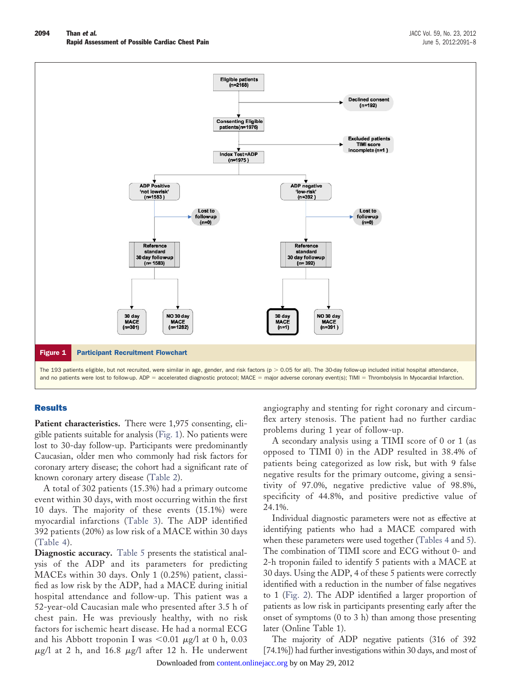

## <span id="page-3-0"></span>**Results**

Patient characteristics. There were 1,975 consenting, eligible patients suitable for analysis [\(Fig. 1\)](#page-3-0). No patients were lost to 30-day follow-up. Participants were predominantly Caucasian, older men who commonly had risk factors for coronary artery disease; the cohort had a significant rate of known coronary artery disease [\(Table 2\)](#page-4-0).

A total of 302 patients (15.3%) had a primary outcome event within 30 days, with most occurring within the first 10 days. The majority of these events (15.1%) were myocardial infarctions [\(Table 3\)](#page-4-1). The ADP identified 392 patients (20%) as low risk of a MACE within 30 days [\(Table 4\)](#page-5-0).

**Diagnostic accuracy.** [Table 5](#page-5-1) presents the statistical analysis of the ADP and its parameters for predicting MACEs within 30 days. Only 1 (0.25%) patient, classified as low risk by the ADP, had a MACE during initial hospital attendance and follow-up. This patient was a 52-year-old Caucasian male who presented after 3.5 h of chest pain. He was previously healthy, with no risk factors for ischemic heart disease. He had a normal ECG and his Abbott troponin I was  $<$ 0.01  $\mu$ g/l at 0 h, 0.03  $\mu$ g/l at 2 h, and 16.8  $\mu$ g/l after 12 h. He underwent angiography and stenting for right coronary and circumflex artery stenosis. The patient had no further cardiac problems during 1 year of follow-up.

A secondary analysis using a TIMI score of 0 or 1 (as opposed to TIMI 0) in the ADP resulted in 38.4% of patients being categorized as low risk, but with 9 false negative results for the primary outcome, giving a sensitivity of 97.0%, negative predictive value of 98.8%, specificity of 44.8%, and positive predictive value of 24.1%.

Individual diagnostic parameters were not as effective at identifying patients who had a MACE compared with when these parameters were used together [\(Tables 4](#page-5-0) and [5\)](#page-5-1). The combination of TIMI score and ECG without 0- and 2-h troponin failed to identify 5 patients with a MACE at 30 days. Using the ADP, 4 of these 5 patients were correctly identified with a reduction in the number of false negatives to 1 [\(Fig. 2\)](#page-6-0). The ADP identified a larger proportion of patients as low risk in participants presenting early after the onset of symptoms (0 to 3 h) than among those presenting later (Online Table 1).

The majority of ADP negative patients (316 of 392 [74.1%]) had further investigations within 30 days, and most of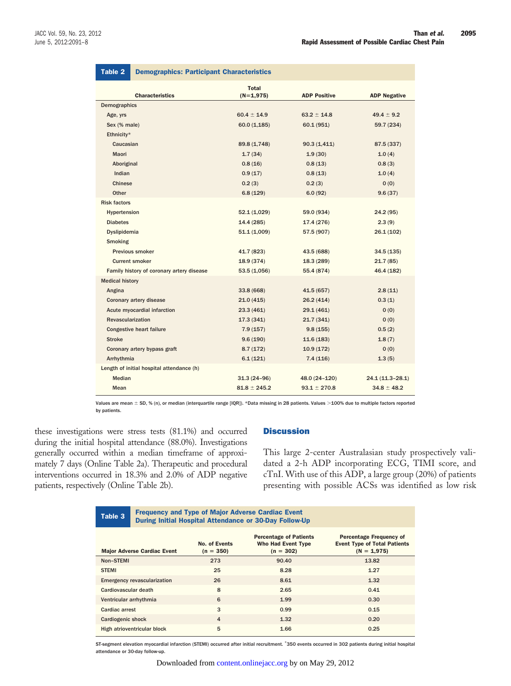<span id="page-4-0"></span>

| Table 2                                   | <b>Demographics: Participant Characteristics</b> |                             |                     |                     |  |  |
|-------------------------------------------|--------------------------------------------------|-----------------------------|---------------------|---------------------|--|--|
|                                           | <b>Characteristics</b>                           | <b>Total</b><br>$(N=1,975)$ | <b>ADP Positive</b> | <b>ADP Negative</b> |  |  |
| Demographics                              |                                                  |                             |                     |                     |  |  |
| Age, yrs                                  |                                                  | $60.4 \pm 14.9$             | $63.2 \pm 14.8$     | $49.4 \pm 9.2$      |  |  |
| Sex (% male)                              |                                                  | 60.0(1,185)                 | 60.1(951)           | 59.7 (234)          |  |  |
| Ethnicity*                                |                                                  |                             |                     |                     |  |  |
| Caucasian                                 |                                                  | 89.8 (1,748)                | 90.3(1,411)         | 87.5 (337)          |  |  |
| Maori                                     |                                                  | 1.7(34)                     | 1.9(30)             | 1.0(4)              |  |  |
| Aboriginal                                |                                                  | 0.8(16)                     | 0.8(13)             | 0.8(3)              |  |  |
| Indian                                    |                                                  | 0.9(17)                     | 0.8(13)             | 1.0(4)              |  |  |
| Chinese                                   |                                                  | 0.2(3)                      | 0.2(3)              | 0(0)                |  |  |
| Other                                     |                                                  | 6.8(129)                    | 6.0(92)             | 9.6(37)             |  |  |
| <b>Risk factors</b>                       |                                                  |                             |                     |                     |  |  |
| Hypertension                              |                                                  | 52.1 (1,029)                | 59.0 (934)          | 24.2 (95)           |  |  |
| <b>Diabetes</b>                           |                                                  | 14.4 (285)                  | 17.4 (276)          | 2.3(9)              |  |  |
| Dyslipidemia                              |                                                  | 51.1 (1,009)                | 57.5 (907)          | 26.1 (102)          |  |  |
| <b>Smoking</b>                            |                                                  |                             |                     |                     |  |  |
| Previous smoker                           |                                                  | 41.7 (823)                  | 43.5 (688)          | 34.5(135)           |  |  |
| <b>Current smoker</b>                     |                                                  | 18.9 (374)                  | 18.3 (289)          | 21.7 (85)           |  |  |
| Family history of coronary artery disease |                                                  | 53.5 (1,056)                | 55.4 (874)          | 46.4 (182)          |  |  |
| <b>Medical history</b>                    |                                                  |                             |                     |                     |  |  |
| Angina                                    |                                                  | 33.8 (668)                  | 41.5 (657)          | 2.8(11)             |  |  |
|                                           | Coronary artery disease                          | 21.0(415)                   | 26.2(414)           | 0.3(1)              |  |  |
|                                           | Acute myocardial infarction                      | 23.3(461)                   | 29.1(461)           | 0(0)                |  |  |
| <b>Revascularization</b>                  |                                                  | 17.3(341)                   | 21.7(341)           | 0(0)                |  |  |
| <b>Congestive heart failure</b>           |                                                  | 7.9(157)                    | 9.8(155)            | 0.5(2)              |  |  |
| <b>Stroke</b>                             |                                                  | 9.6(190)                    | 11.6(183)           | 1.8(7)              |  |  |
| Coronary artery bypass graft              |                                                  | 8.7(172)                    | 10.9(172)           | 0(0)                |  |  |
| Arrhythmia                                |                                                  | 6.1(121)                    | 7.4(116)            | 1.3(5)              |  |  |
| Length of initial hospital attendance (h) |                                                  |                             |                     |                     |  |  |
| <b>Median</b>                             |                                                  | $31.3(24-96)$               | 48.0 (24-120)       | 24.1 (11.3-28.1)    |  |  |
| Mean                                      |                                                  | $81.8 \pm 245.2$            | $93.1 \pm 270.8$    | $34.8 \pm 48.2$     |  |  |

Values are mean  $\pm$  SD, % (n), or median (interquartile range [IQR]). \*Data missing in 28 patients. Values >100% due to multiple factors reported by patients.

these investigations were stress tests (81.1%) and occurred during the initial hospital attendance (88.0%). Investigations generally occurred within a median timeframe of approximately 7 days (Online Table 2a). Therapeutic and procedural interventions occurred in 18.3% and 2.0% of ADP negative patients, respectively (Online Table 2b).

# **Discussion**

This large 2-center Australasian study prospectively validated a 2-h ADP incorporating ECG, TIMI score, and cTnI. With use of this ADP, a large group (20%) of patients presenting with possible ACSs was identified as low risk

<span id="page-4-1"></span>Table 3 **Exercise Cardiac Event During Initial Intervention Adverse Cardiac Event** <br>
During Initial Uponital Attendance or 30 Day Follow-During Initial Hospital Attendance or 30-Day Follow-Up

| <b>Major Adverse Cardiac Event</b> | <b>No. of Events</b><br>$(n = 350)$ | <b>Percentage of Patients</b><br><b>Who Had Event Type</b><br>$(n = 302)$ | <b>Percentage Frequency of</b><br><b>Event Type of Total Patients</b><br>$(N = 1,975)$ |
|------------------------------------|-------------------------------------|---------------------------------------------------------------------------|----------------------------------------------------------------------------------------|
| Non-STEMI                          | 273                                 | 90.40                                                                     | 13.82                                                                                  |
| <b>STEMI</b>                       | 25                                  | 8.28                                                                      | 1.27                                                                                   |
| <b>Emergency revascularization</b> | 26                                  | 8.61                                                                      | 1.32                                                                                   |
| Cardiovascular death               | 8                                   | 2.65                                                                      | 0.41                                                                                   |
| Ventricular arrhythmia             | 6                                   | 1.99                                                                      | 0.30                                                                                   |
| Cardiac arrest                     | 3                                   | 0.99                                                                      | 0.15                                                                                   |
| <b>Cardiogenic shock</b>           | $\overline{4}$                      | 1.32                                                                      | 0.20                                                                                   |
| High atrioventricular block        | 5                                   | 1.66                                                                      | 0.25                                                                                   |

ST-segment elevation myocardial infarction (STEMI) occurred after initial recruitment. \*350 events occurred in 302 patients during initial hospital attendance or 30-day follow-up.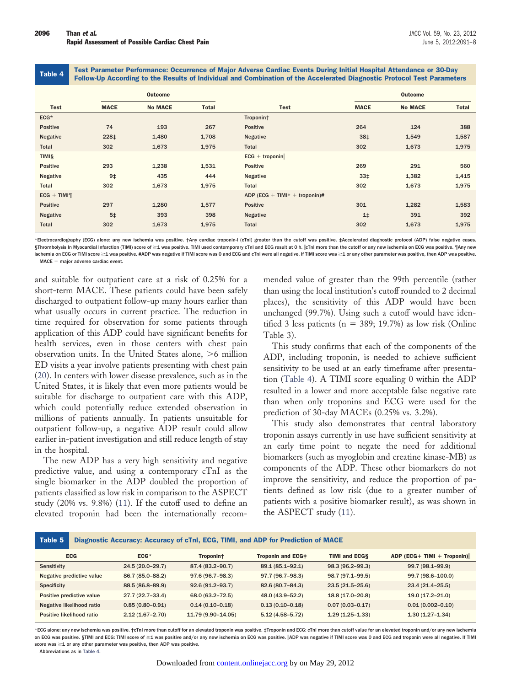<span id="page-5-0"></span>Table 4 Test Parameter Performance: Occurrence of Major Adverse Cardiac Events During Initial Hospital Attendance or 30-Day Follow-Up According to the Results of Individual and Combination of the Accelerated Diagnostic Protocol Test Parameters

|                 | <b>Outcome</b> |                |              |                               |                 | <b>Outcome</b> |       |  |
|-----------------|----------------|----------------|--------------|-------------------------------|-----------------|----------------|-------|--|
| <b>Test</b>     | <b>MACE</b>    | <b>No MACE</b> | <b>Total</b> | <b>Test</b>                   | <b>MACE</b>     | <b>No MACE</b> | Total |  |
| $ECG*$          |                |                |              | Troponin†                     |                 |                |       |  |
| <b>Positive</b> | 74             | 193            | 267          | <b>Positive</b>               | 264             | 124            | 388   |  |
| <b>Negative</b> | 228‡           | 1,480          | 1,708        | <b>Negative</b>               | 38‡             | 1,549          | 1,587 |  |
| Total           | 302            | 1,673          | 1,975        | Total                         | 302             | 1,673          | 1,975 |  |
| <b>TIMIS</b>    |                |                |              | $ECG + troponin$              |                 |                |       |  |
| Positive        | 293            | 1,238          | 1,531        | Positive                      | 269             | 291            | 560   |  |
| <b>Negative</b> | $9+$           | 435            | 444          | Negative                      | 33 <sup>‡</sup> | 1,382          | 1,415 |  |
| Total           | 302            | 1,673          | 1,975        | Total                         | 302             | 1,673          | 1,975 |  |
| $ECG + TIMI\P$  |                |                |              | ADP (ECG + TIMI* + troponin)# |                 |                |       |  |
| <b>Positive</b> | 297            | 1,280          | 1,577        | Positive                      | 301             | 1,282          | 1,583 |  |
| <b>Negative</b> | 5 <sup>‡</sup> | 393            | 398          | <b>Negative</b>               | 1 <sup>†</sup>  | 391            | 392   |  |
| Total           | 302            | 1,673          | 1,975        | Total                         | 302             | 1,673          | 1,975 |  |

\*Electrocardiography (ECG) alone: any new ischemia was positive. †Any cardiac troponin-I (cTnI) greater than the cutoff was positive. ‡Accelerated diagnostic protocol (ADP) false negative cases. §Thrombolysis In Myocardial Infarction (TIMI) score of ≥1 was positive. TIMI used contemporary cTnI and ECG result at 0 h. cTinI more than the cutoff or any new ischemia on ECG was positive. ¶Any new ischemia on ECG or TIMI score ≥1 was positive. #ADP was negative if TIMI score was 0 and ECG and cTnI were all negative. If TIMI score was ≥1 or any other parameter was positive, then ADP was positive.  $MACE =$  major adverse cardiac event.

and suitable for outpatient care at a risk of 0.25% for a short-term MACE. These patients could have been safely discharged to outpatient follow-up many hours earlier than what usually occurs in current practice. The reduction in time required for observation for some patients through application of this ADP could have significant benefits for health services, even in those centers with chest pain observation units. In the United States alone, >6 million ED visits a year involve patients presenting with chest pain [\(20\)](#page-7-11). In centers with lower disease prevalence, such as in the United States, it is likely that even more patients would be suitable for discharge to outpatient care with this ADP, which could potentially reduce extended observation in millions of patients annually. In patients unsuitable for outpatient follow-up, a negative ADP result could allow earlier in-patient investigation and still reduce length of stay in the hospital.

The new ADP has a very high sensitivity and negative predictive value, and using a contemporary cTnI as the single biomarker in the ADP doubled the proportion of patients classified as low risk in comparison to the ASPECT study (20% vs. 9.8%) [\(11\)](#page-7-4). If the cutoff used to define an elevated troponin had been the internationally recom-

mended value of greater than the 99th percentile (rather than using the local institution's cutoff rounded to 2 decimal places), the sensitivity of this ADP would have been unchanged (99.7%). Using such a cutoff would have identified 3 less patients ( $n = 389$ ; 19.7%) as low risk (Online Table 3).

This study confirms that each of the components of the ADP, including troponin, is needed to achieve sufficient sensitivity to be used at an early timeframe after presentation [\(Table 4\)](#page-5-0). A TIMI score equaling 0 within the ADP resulted in a lower and more acceptable false negative rate than when only troponins and ECG were used for the prediction of 30-day MACEs (0.25% vs. 3.2%).

This study also demonstrates that central laboratory troponin assays currently in use have sufficient sensitivity at an early time point to negate the need for additional biomarkers (such as myoglobin and creatine kinase-MB) as components of the ADP. These other biomarkers do not improve the sensitivity, and reduce the proportion of patients defined as low risk (due to a greater number of patients with a positive biomarker result), as was shown in the ASPECT study [\(11\)](#page-7-4).

<span id="page-5-1"></span>

| Table 5<br>Diagnostic Accuracy: Accuracy of cTnl, ECG, TIMI, and ADP for Prediction of MACE |                     |                     |                     |                      |                            |
|---------------------------------------------------------------------------------------------|---------------------|---------------------|---------------------|----------------------|----------------------------|
| <b>ECG</b>                                                                                  | $ECG*$              | Troponin+           | Troponin and ECG#   | <b>TIMI and ECGS</b> | ADP (ECG+ TIMI + Troponin) |
| Sensitivity                                                                                 | 24.5 (20.0-29.7)    | 87.4 (83.2-90.7)    | 89.1 (85.1-92.1)    | 98.3 (96.2-99.3)     | 99.7 (98.1-99.9)           |
| Negative predictive value                                                                   | 86.7 (85.0-88.2)    | 97.6 (96.7-98.3)    | 97.7 (96.7-98.3)    | 98.7 (97.1-99.5)     | 99.7 (98.6-100.0)          |
| <b>Specificity</b>                                                                          | 88.5 (86.8-89.9)    | $92.6(91.2 - 93.7)$ | 82.6 (80.7-84.3)    | $23.5(21.5 - 25.6)$  | $23.4(21.4 - 25.5)$        |
| Positive predictive value                                                                   | 27.7 (22.7-33.4)    | 68.0 (63.2-72.5)    | 48.0 (43.9-52.2)    | 18.8 (17.0-20.8)     | $19.0(17.2 - 21.0)$        |
| Negative likelihood ratio                                                                   | $0.85(0.80 - 0.91)$ | $0.14(0.10 - 0.18)$ | $0.13(0.10 - 0.18)$ | $0.07(0.03 - 0.17)$  | $0.01(0.002 - 0.10)$       |
| Positive likelihood ratio                                                                   | $2.12(1.67 - 2.70)$ | 11.79 (9.90-14.05)  | $5.12(4.58 - 5.72)$ | $1.29(1.25-1.33)$    | $1.30(1.27-1.34)$          |

\*ECG alone: any new ischemia was positive. †cTnI more than cutoff for an elevated troponin was positive. ‡Troponin and ECG: cTnI more than cutoff value for an elevated troponin and/or any new ischemia on ECG was positive. §TIMI and ECG: TIMI score of ≥1 was positive and/or any new ischemia on ECG was positive. |ADP was negative if TIMI score was 0 and ECG and troponin were all negative. If TIMI score was  $\geq$ 1 or any other parameter was positive, then ADP was positive.

Abbreviations as in [Table 4.](#page-5-0)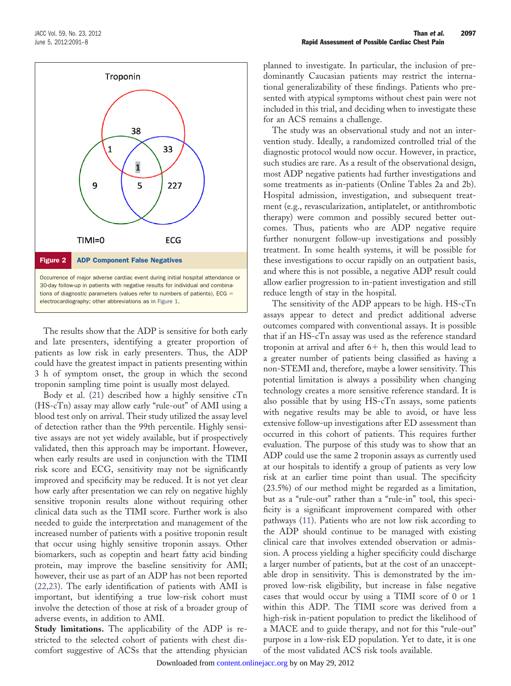

<span id="page-6-0"></span>The results show that the ADP is sensitive for both early and late presenters, identifying a greater proportion of patients as low risk in early presenters. Thus, the ADP could have the greatest impact in patients presenting within 3 h of symptom onset, the group in which the second troponin sampling time point is usually most delayed.

Body et al. [\(21\)](#page-7-12) described how a highly sensitive cTn (HS-cTn) assay may allow early "rule-out" of AMI using a blood test only on arrival. Their study utilized the assay level of detection rather than the 99th percentile. Highly sensitive assays are not yet widely available, but if prospectively validated, then this approach may be important. However, when early results are used in conjunction with the TIMI risk score and ECG, sensitivity may not be significantly improved and specificity may be reduced. It is not yet clear how early after presentation we can rely on negative highly sensitive troponin results alone without requiring other clinical data such as the TIMI score. Further work is also needed to guide the interpretation and management of the increased number of patients with a positive troponin result that occur using highly sensitive troponin assays. Other biomarkers, such as copeptin and heart fatty acid binding protein, may improve the baseline sensitivity for AMI; however, their use as part of an ADP has not been reported [\(22,23\)](#page-7-13). The early identification of patients with AMI is important, but identifying a true low-risk cohort must involve the detection of those at risk of a broader group of adverse events, in addition to AMI.

**Study limitations.** The applicability of the ADP is restricted to the selected cohort of patients with chest discomfort suggestive of ACSs that the attending physician

planned to investigate. In particular, the inclusion of predominantly Caucasian patients may restrict the international generalizability of these findings. Patients who presented with atypical symptoms without chest pain were not included in this trial, and deciding when to investigate these for an ACS remains a challenge.

The study was an observational study and not an intervention study. Ideally, a randomized controlled trial of the diagnostic protocol would now occur. However, in practice, such studies are rare. As a result of the observational design, most ADP negative patients had further investigations and some treatments as in-patients (Online Tables 2a and 2b). Hospital admission, investigation, and subsequent treatment (e.g., revascularization, antiplatelet, or antithrombotic therapy) were common and possibly secured better outcomes. Thus, patients who are ADP negative require further nonurgent follow-up investigations and possibly treatment. In some health systems, it will be possible for these investigations to occur rapidly on an outpatient basis, and where this is not possible, a negative ADP result could allow earlier progression to in-patient investigation and still reduce length of stay in the hospital.

The sensitivity of the ADP appears to be high. HS-cTn assays appear to detect and predict additional adverse outcomes compared with conventional assays. It is possible that if an HS-cTn assay was used as the reference standard troponin at arrival and after  $6+$  h, then this would lead to a greater number of patients being classified as having a non-STEMI and, therefore, maybe a lower sensitivity. This potential limitation is always a possibility when changing technology creates a more sensitive reference standard. It is also possible that by using HS-cTn assays, some patients with negative results may be able to avoid, or have less extensive follow-up investigations after ED assessment than occurred in this cohort of patients. This requires further evaluation. The purpose of this study was to show that an ADP could use the same 2 troponin assays as currently used at our hospitals to identify a group of patients as very low risk at an earlier time point than usual. The specificity (23.5%) of our method might be regarded as a limitation, but as a "rule-out" rather than a "rule-in" tool, this specificity is a significant improvement compared with other pathways [\(11\)](#page-7-4). Patients who are not low risk according to the ADP should continue to be managed with existing clinical care that involves extended observation or admission. A process yielding a higher specificity could discharge a larger number of patients, but at the cost of an unacceptable drop in sensitivity. This is demonstrated by the improved low-risk eligibility, but increase in false negative cases that would occur by using a TIMI score of 0 or 1 within this ADP. The TIMI score was derived from a high-risk in-patient population to predict the likelihood of a MACE and to guide therapy, and not for this "rule-out" purpose in a low-risk ED population. Yet to date, it is one of the most validated ACS risk tools available.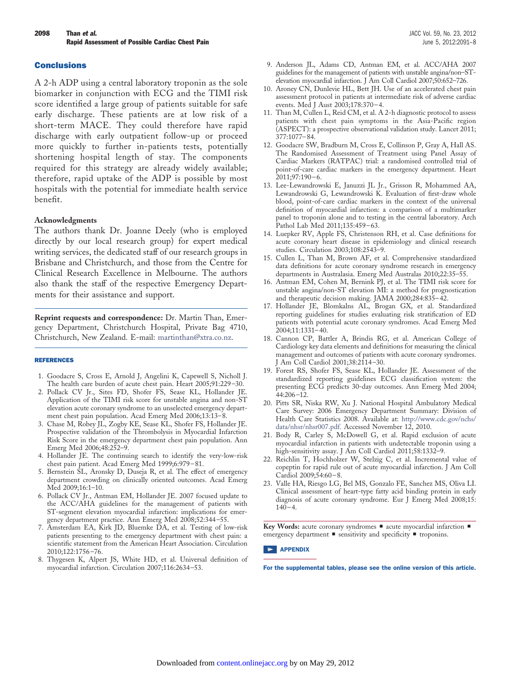### **Conclusions**

A 2-h ADP using a central laboratory troponin as the sole biomarker in conjunction with ECG and the TIMI risk score identified a large group of patients suitable for safe early discharge. These patients are at low risk of a short-term MACE. They could therefore have rapid discharge with early outpatient follow-up or proceed more quickly to further in-patients tests, potentially shortening hospital length of stay. The components required for this strategy are already widely available; therefore, rapid uptake of the ADP is possible by most hospitals with the potential for immediate health service benefit.

#### **Acknowledgments**

The authors thank Dr. Joanne Deely (who is employed directly by our local research group) for expert medical writing services, the dedicated staff of our research groups in Brisbane and Christchurch, and those from the Centre for Clinical Research Excellence in Melbourne. The authors also thank the staff of the respective Emergency Departments for their assistance and support.

**Reprint requests and correspondence:** Dr. Martin Than, Emergency Department, Christchurch Hospital, Private Bag 4710, Christchurch, New Zealand. E-mail: [martinthan@xtra.co.nz.](mailto:martinthan@xtra.co.nz)

#### <span id="page-7-0"></span>REFERENCES

- <span id="page-7-1"></span>1. Goodacre S, Cross E, Arnold J, Angelini K, Capewell S, Nicholl J. The health care burden of acute chest pain. Heart 2005;91:229–30.
- 2. Pollack CV Jr., Sites FD, Shofer FS, Sease KL, Hollander JE. Application of the TIMI risk score for unstable angina and non-ST elevation acute coronary syndrome to an unselected emergency department chest pain population. Acad Emerg Med 2006;13:13–8.
- 3. Chase M, Robey JL, Zogby KE, Sease KL, Shofer FS, Hollander JE. Prospective validation of the Thrombolysis in Myocardial Infarction Risk Score in the emergency department chest pain population. Ann Emerg Med 2006;48:252–9.
- <span id="page-7-2"></span>4. Hollander JE. The continuing search to identify the very-low-risk chest pain patient. Acad Emerg Med 1999;6:979–81.
- <span id="page-7-3"></span>5. Bernstein SL, Aronsky D, Duseja R, et al. The effect of emergency department crowding on clinically oriented outcomes. Acad Emerg Med 2009;16:1–10.
- 6. Pollack CV Jr., Antman EM, Hollander JE. 2007 focused update to the ACC/AHA guidelines for the management of patients with ST-segment elevation myocardial infarction: implications for emergency department practice. Ann Emerg Med 2008;52:344–55.
- 7. Amsterdam EA, Kirk JD, Bluemke DA, et al. Testing of low-risk patients presenting to the emergency department with chest pain: a scientific statement from the American Heart Association. Circulation 2010;122:1756–76.
- <span id="page-7-10"></span>8. Thygesen K, Alpert JS, White HD, et al. Universal definition of myocardial infarction. Circulation 2007;116:2634–53.
- 9. Anderson JL, Adams CD, Antman EM, et al. ACC/AHA 2007 guidelines for the management of patients with unstable angina/non–STelevation myocardial infarction. J Am Coll Cardiol 2007;50:652–726.
- 10. Aroney CN, Dunlevie HL, Bett JH. Use of an accelerated chest pain assessment protocol in patients at intermediate risk of adverse cardiac events. Med J Aust 2003;178:370–4.
- <span id="page-7-4"></span>11. Than M, Cullen L, Reid CM, et al. A 2-h diagnostic protocol to assess patients with chest pain symptoms in the Asia-Pacific region (ASPECT): a prospective observational validation study. Lancet 2011; 377:1077–84.
- 12. Goodacre SW, Bradburn M, Cross E, Collinson P, Gray A, Hall AS. The Randomised Assessment of Treatment using Panel Assay of Cardiac Markers (RATPAC) trial: a randomised controlled trial of point-of-care cardiac markers in the emergency department. Heart 2011;97:190–6.
- <span id="page-7-5"></span>13. Lee-Lewandrowski E, Januzzi JL Jr., Grisson R, Mohammed AA, Lewandrowski G, Lewandrowski K. Evaluation of first-draw whole blood, point-of-care cardiac markers in the context of the universal definition of myocardial infarction: a comparison of a multimarker panel to troponin alone and to testing in the central laboratory. Arch Pathol Lab Med 2011;135:459–63.
- <span id="page-7-6"></span>14. Luepker RV, Apple FS, Christenson RH, et al. Case definitions for acute coronary heart disease in epidemiology and clinical research studies. Circulation 2003;108:2543–9.
- <span id="page-7-7"></span>15. Cullen L, Than M, Brown AF, et al. Comprehensive standardized data definitions for acute coronary syndrome research in emergency departments in Australasia. Emerg Med Australas 2010;22:35–55.
- <span id="page-7-8"></span>16. Antman EM, Cohen M, Bernink PJ, et al. The TIMI risk score for unstable angina/non-ST elevation MI: a method for prognostication and therapeutic decision making. JAMA 2000;284:835–42.
- <span id="page-7-9"></span>17. Hollander JE, Blomkalns AL, Brogan GX, et al. Standardized reporting guidelines for studies evaluating risk stratification of ED patients with potential acute coronary syndromes. Acad Emerg Med 2004;11:1331–40.
- 18. Cannon CP, Battler A, Brindis RG, et al. American College of Cardiology key data elements and definitions for measuring the clinical management and outcomes of patients with acute coronary syndromes. J Am Coll Cardiol 2001;38:2114–30.
- 19. Forest RS, Shofer FS, Sease KL, Hollander JE. Assessment of the standardized reporting guidelines ECG classification system: the presenting ECG predicts 30-day outcomes. Ann Emerg Med 2004;  $-44:206-12$ .
- <span id="page-7-11"></span>20. Pitts SR, Niska RW, Xu J. National Hospital Ambulatory Medical Care Survey: 2006 Emergency Department Summary: Division of Health Care Statistics 2008. Available at: [http://www.cdc.gov/nchs/](http://www.cdc.gov/nchs/data/nhsr/nhsr007.pdf) [data/nhsr/nhsr007.pdf.](http://www.cdc.gov/nchs/data/nhsr/nhsr007.pdf) Accessed November 12, 2010.
- <span id="page-7-13"></span><span id="page-7-12"></span>21. Body R, Carley S, McDowell G, et al. Rapid exclusion of acute myocardial infarction in patients with undetectable troponin using a high-sensitivity assay. J Am Coll Cardiol 2011;58:1332-9.
- 22. Reichlin T, Hochholzer W, Stelzig C, et al. Incremental value of copeptin for rapid rule out of acute myocardial infarction. J Am Coll Cardiol 2009;54:60–8.
- 23. Valle HA, Riesgo LG, Bel MS, Gonzalo FE, Sanchez MS, Oliva LI. Clinical assessment of heart-type fatty acid binding protein in early diagnosis of acute coronary syndrome. Eur J Emerg Med 2008;15:  $140 - 4.$

Key Words: acute coronary syndromes  $\blacksquare$  acute myocardial infarction  $\blacksquare$ emergency department  $\blacksquare$  sensitivity and specificity  $\blacksquare$  troponins.

#### **APPENDIX**

For the supplemental tables, please see the online version of this article.